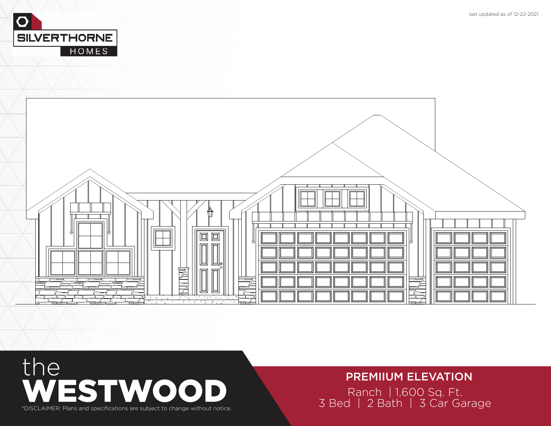



# the PREMIIUM ELEVATION<br>
3 Bed | 2 Bath | 3 Car Garage<br>
S Bed | 2 Bath | 3 Car Garage \*

### PREMIIUM ELEVATION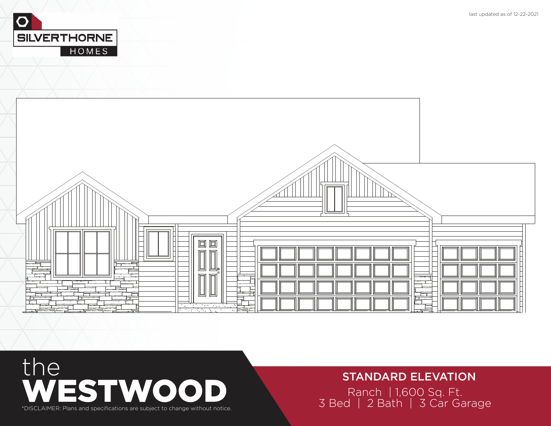



### Ranch | 1,600 Sq. Ft.<br>3 Bed | 2 Bath | 3 Car Garage STANDARD ELEVATION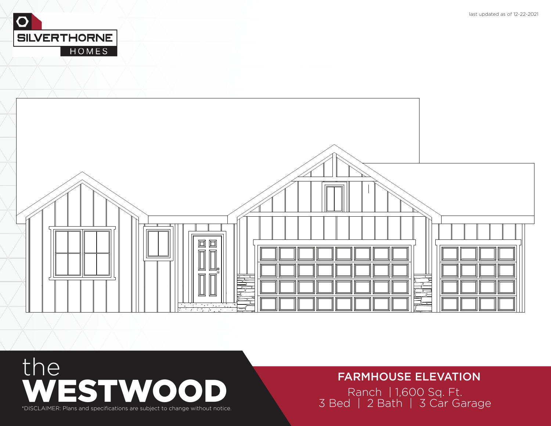



#### FARMHOUSE ELEVATION

Ranch | 1,600 Sq. Ft.<br>3 Bed | 2 Bath | 3 Car Garage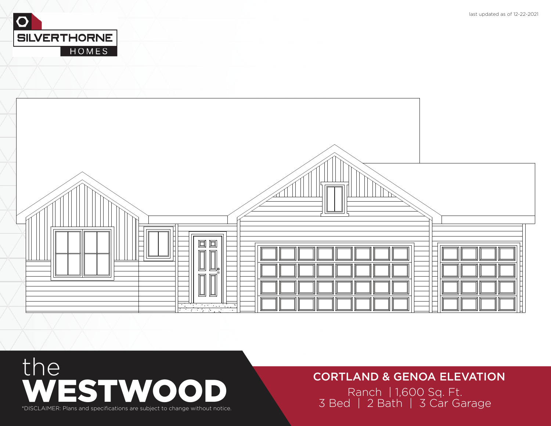



#### CORTLAND & GENOA ELEVATION

Ranch | 1,600 Sq. Ft.<br>3 Bed | 2 Bath | 3 Car Garage